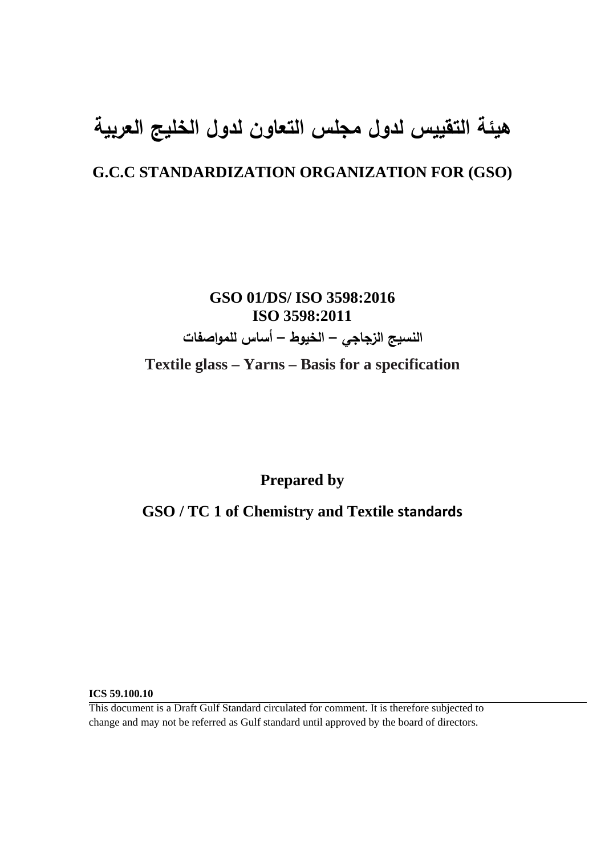# **هيئة التقييس لدول مجلس التعاون لدول الخليج العربية**

## **G.C.C STANDARDIZATION ORGANIZATION FOR (GSO)**

**GSO 01/DS/ ISO 3598:2016 ISO 3598:2011 النسيج الزجاجي – الخيوط – أساس للمواصفات Textile glass – Yarns – Basis for a specification** 

**Prepared by** 

**GSO / TC 1 of Chemistry and Textile standards**

**ICS 59.100.10** 

This document is a Draft Gulf Standard circulated for comment. It is therefore subjected to change and may not be referred as Gulf standard until approved by the board of directors.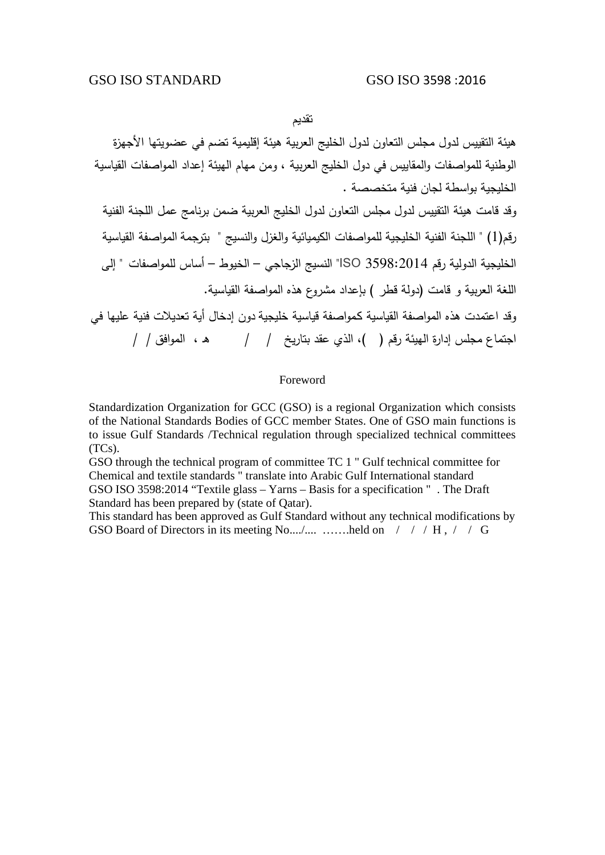تقديم

هيئة التقييس لدول مجلس التعاون لدول الخليج العربية هيئة إقليمية تضم في عضويتها الأجهزة الوطنية للمواصفات والمقاييس في دول الخليج العربية ، ومن مهام الهيئة إعداد المواصفات القياسية الخليجية بواسطة لجان فنية متخصصة . وقد قامت هيئة التقييس لدول مجلس التعاون لدول الخليج العربية ضمن برنامج عمل اللجنة الفنية رقم(1) " اللجنة الفنية الخليجية للمواصفات الكيميائية والغزل والنسيج " بترجمة المواصفة القياسية الخليجية الدولية رقم 3598:2014 ISO "النسيج الزجاجي – الخيوط – أساس للمواصفات " إلى اللغة العربية و قامت (دولة قطر ) بإعداد مشروع هذه المواصفة القياسية. وقد اعتمدت هذه المواصفة القياسية كـمواصفة قياسية خليجية دون إدخال أية تعديلات فنية عليها في اجتماع مجلس إدارة الهيئة رقم ( )، الذي عقد بتاريخ / / هـ ، الموافق / /

#### Foreword

Standardization Organization for GCC (GSO) is a regional Organization which consists of the National Standards Bodies of GCC member States. One of GSO main functions is to issue Gulf Standards /Technical regulation through specialized technical committees (TCs).

GSO through the technical program of committee TC 1 " Gulf technical committee for Chemical and textile standards " translate into Arabic Gulf International standard GSO ISO 3598:2014 "Textile glass – Yarns – Basis for a specification " . The Draft Standard has been prepared by (state of Qatar).

This standard has been approved as Gulf Standard without any technical modifications by GSO Board of Directors in its meeting No..../.... …….held on / / / H, / / G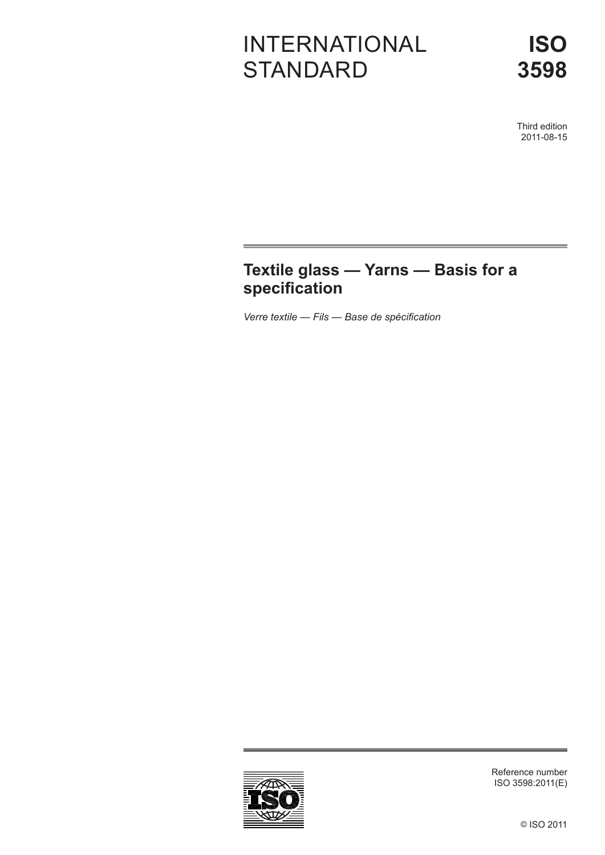# INTERNATIONAL **STANDARD**

Third edition 2011-08-15

## **Textile glass — Yarns — Basis for a specification**

*Verre textile — Fils — Base de spécification*



Reference number ISO 3598:2011(E)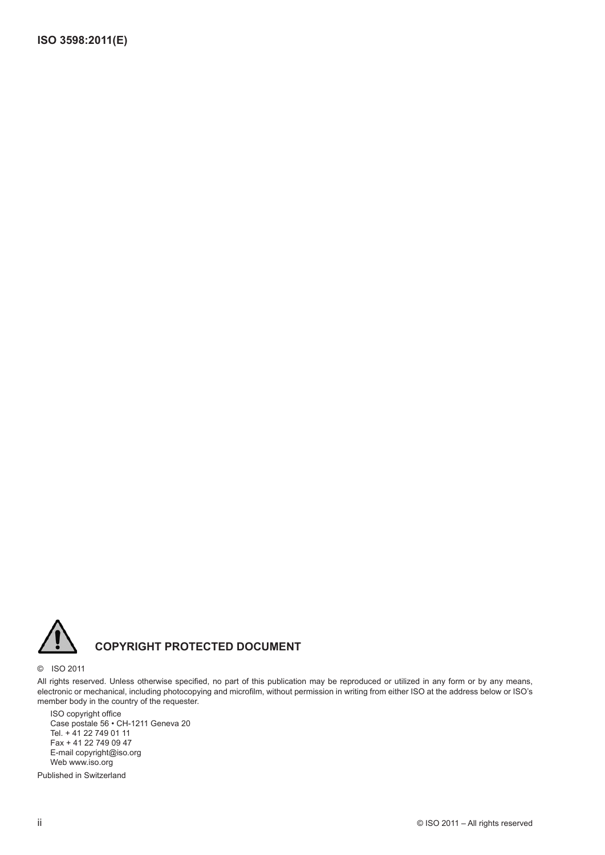

### **COPYRIGHT PROTECTED DOCUMENT**

#### © ISO 2011

All rights reserved. Unless otherwise specified, no part of this publication may be reproduced or utilized in any form or by any means, electronic or mechanical, including photocopying and microfilm, without permission in writing from either ISO at the address below or ISO's member body in the country of the requester.

ISO copyright office Case postale 56 • CH-1211 Geneva 20 Tel. + 41 22 749 01 11 Fax + 41 22 749 09 47 E-mail copyright@iso.org Web www.iso.org

Published in Switzerland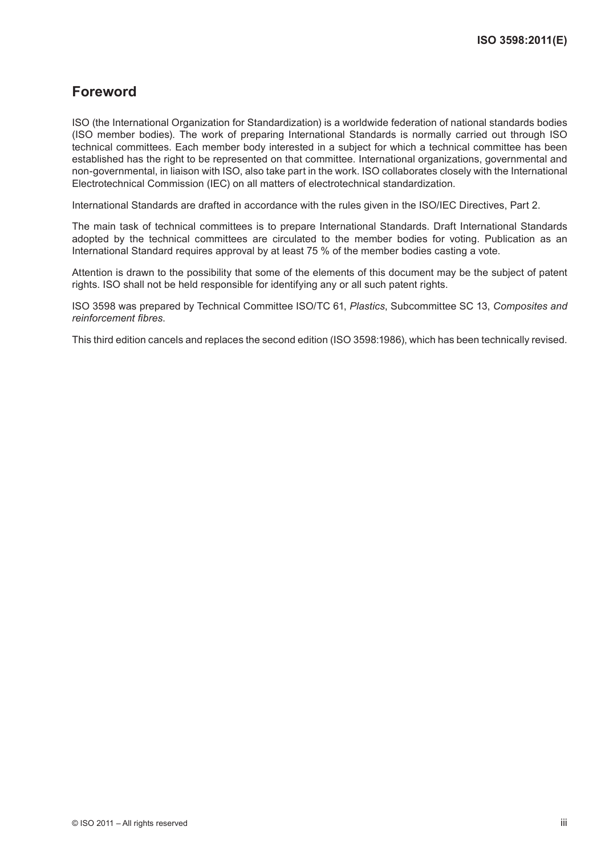## **Foreword**

ISO (the International Organization for Standardization) is a worldwide federation of national standards bodies (ISO member bodies). The work of preparing International Standards is normally carried out through ISO technical committees. Each member body interested in a subject for which a technical committee has been established has the right to be represented on that committee. International organizations, governmental and non-governmental, in liaison with ISO, also take part in the work. ISO collaborates closely with the International Electrotechnical Commission (IEC) on all matters of electrotechnical standardization.

International Standards are drafted in accordance with the rules given in the ISO/IEC Directives, Part 2.

The main task of technical committees is to prepare International Standards. Draft International Standards adopted by the technical committees are circulated to the member bodies for voting. Publication as an International Standard requires approval by at least 75 % of the member bodies casting a vote.

Attention is drawn to the possibility that some of the elements of this document may be the subject of patent rights. ISO shall not be held responsible for identifying any or all such patent rights.

ISO 3598 was prepared by Technical Committee ISO/TC 61, *Plastics*, Subcommittee SC 13, *Composites and reinforcement fibres*.

This third edition cancels and replaces the second edition (ISO 3598:1986), which has been technically revised.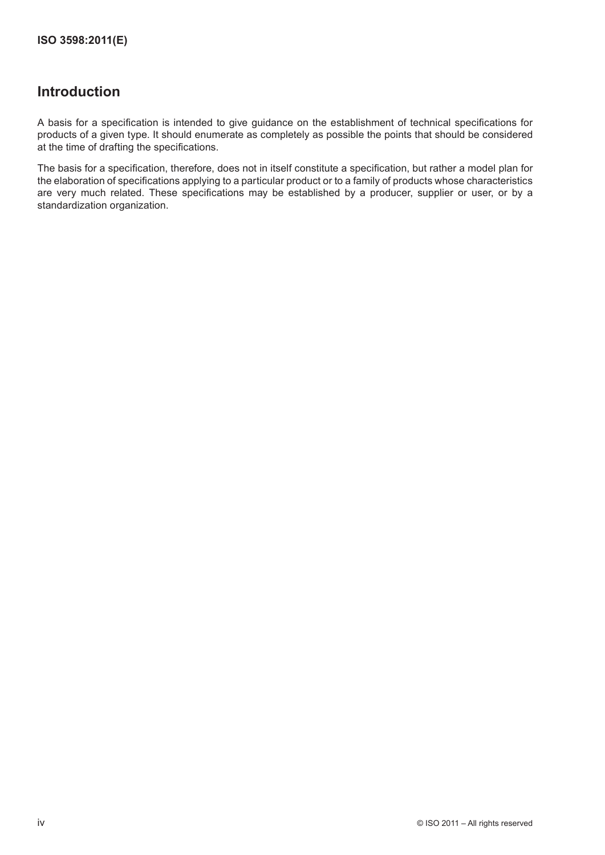### **Introduction**

A basis for a specification is intended to give guidance on the establishment of technical specifications for products of a given type. It should enumerate as completely as possible the points that should be considered at the time of drafting the specifications.

The basis for a specification, therefore, does not in itself constitute a specification, but rather a model plan for the elaboration of specifications applying to a particular product or to a family of products whose characteristics are very much related. These specifications may be established by a producer, supplier or user, or by a standardization organization.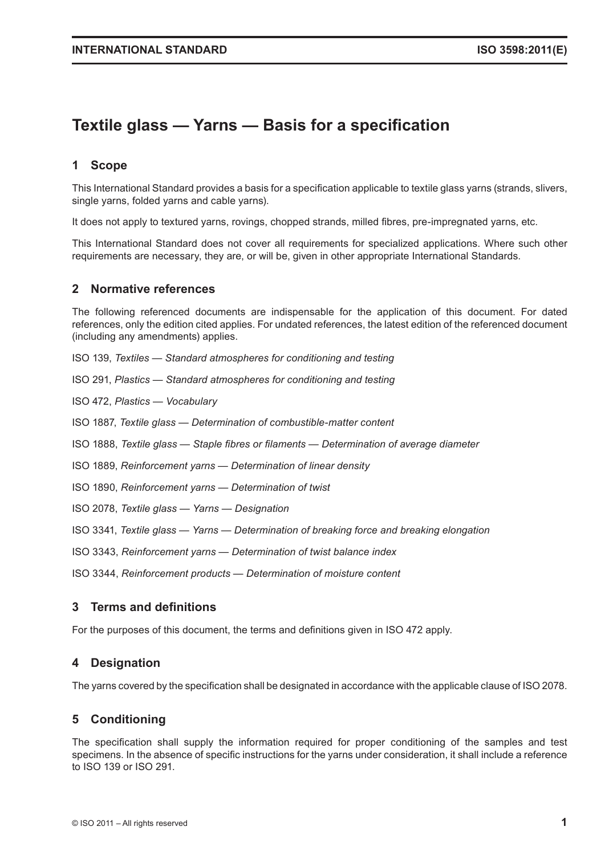## **Textile glass — Yarns — Basis for a specification**

#### **1 Scope**

This International Standard provides a basis for a specification applicable to textile glass yarns (strands, slivers, single yarns, folded yarns and cable yarns).

It does not apply to textured yarns, rovings, chopped strands, milled fibres, pre-impregnated yarns, etc.

This International Standard does not cover all requirements for specialized applications. Where such other requirements are necessary, they are, or will be, given in other appropriate International Standards.

#### **2 Normative references**

The following referenced documents are indispensable for the application of this document. For dated references, only the edition cited applies. For undated references, the latest edition of the referenced document (including any amendments) applies.

ISO 139, *Textiles — Standard atmospheres for conditioning and testing*

ISO 291, *Plastics — Standard atmospheres for conditioning and testing*

ISO 472, *Plastics — Vocabulary*

ISO 1887, *Textile glass — Determination of combustible-matter content*

ISO 1888, *Textile glass — Staple fibres or filaments — Determination of average diameter*

ISO 1889, *Reinforcement yarns — Determination of linear density*

ISO 1890, *Reinforcement yarns — Determination of twist*

ISO 2078, *Textile glass — Yarns — Designation*

ISO 3341, *Textile glass — Yarns — Determination of breaking force and breaking elongation*

ISO 3343, *Reinforcement yarns — Determination of twist balance index*

ISO 3344, *Reinforcement products — Determination of moisture content*

#### **3 Terms and definitions**

For the purposes of this document, the terms and definitions given in ISO 472 apply.

#### **4 Designation**

The yarns covered by the specification shall be designated in accordance with the applicable clause of ISO 2078.

#### **5 Conditioning**

The specification shall supply the information required for proper conditioning of the samples and test specimens. In the absence of specific instructions for the yarns under consideration, it shall include a reference to ISO 139 or ISO 291.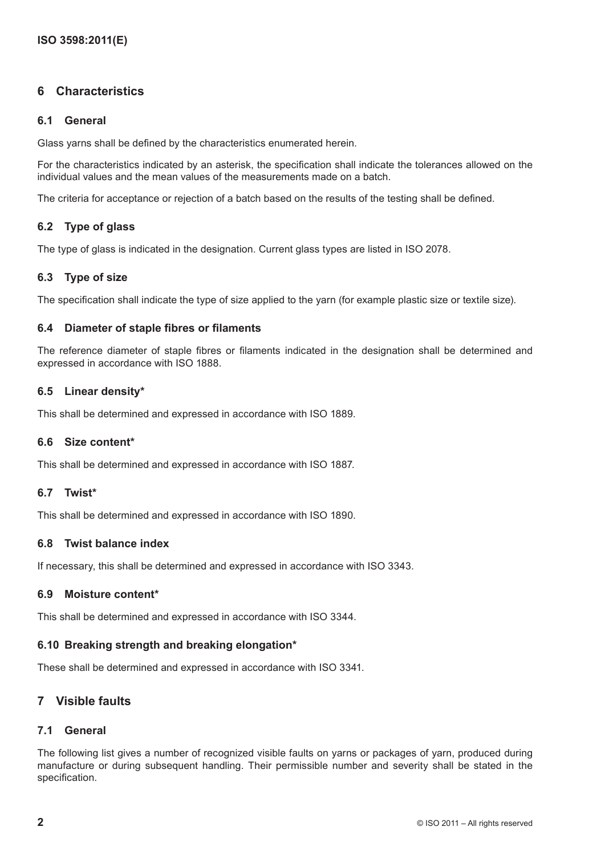#### **6 Characteristics**

#### **6.1 General**

Glass yarns shall be defined by the characteristics enumerated herein.

For the characteristics indicated by an asterisk, the specification shall indicate the tolerances allowed on the individual values and the mean values of the measurements made on a batch.

The criteria for acceptance or rejection of a batch based on the results of the testing shall be defined.

#### **6.2 Type of glass**

The type of glass is indicated in the designation. Current glass types are listed in ISO 2078.

#### **6.3 Type of size**

The specification shall indicate the type of size applied to the yarn (for example plastic size or textile size).

#### **6.4 Diameter of staple fibres or filaments**

The reference diameter of staple fibres or filaments indicated in the designation shall be determined and expressed in accordance with ISO 1888.

#### **6.5 Linear density\***

This shall be determined and expressed in accordance with ISO 1889.

#### **6.6 Size content\***

This shall be determined and expressed in accordance with ISO 1887.

#### **6.7 Twist\***

This shall be determined and expressed in accordance with ISO 1890.

#### **6.8 Twist balance index**

If necessary, this shall be determined and expressed in accordance with ISO 3343.

#### **6.9 Moisture content\***

This shall be determined and expressed in accordance with ISO 3344.

#### **6.10 Breaking strength and breaking elongation\***

These shall be determined and expressed in accordance with ISO 3341.

#### **7 Visible faults**

#### **7.1 General**

The following list gives a number of recognized visible faults on yarns or packages of yarn, produced during manufacture or during subsequent handling. Their permissible number and severity shall be stated in the specification.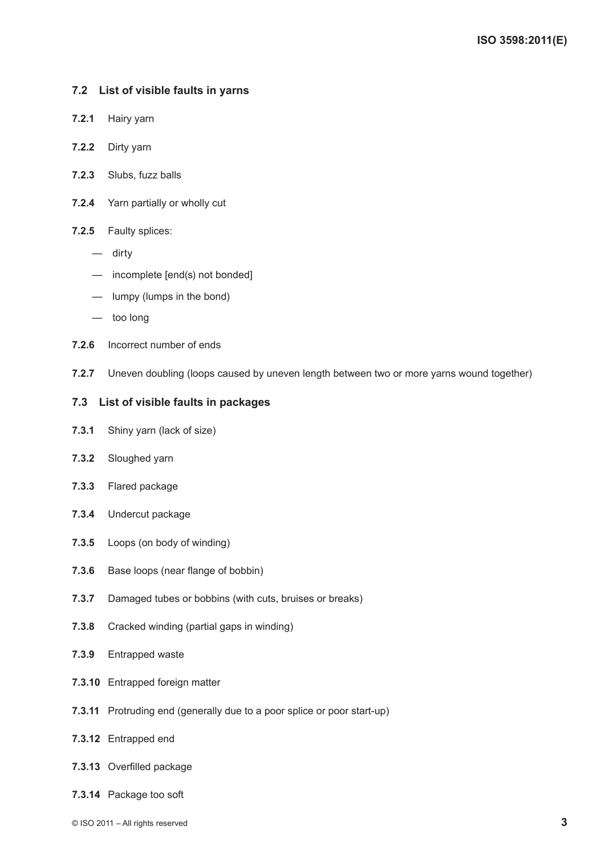#### **7.2 List of visible faults in yarns**

- **7.2.1** Hairy yarn
- **7.2.2** Dirty yarn
- **7.2.3** Slubs, fuzz balls
- **7.2.4** Yarn partially or wholly cut
- **7.2.5** Faulty splices:
	- dirty
	- incomplete [end(s) not bonded]
	- lumpy (lumps in the bond)
	- too long
- **7.2.6** Incorrect number of ends
- **7.2.7** Uneven doubling (loops caused by uneven length between two or more yarns wound together)

#### **7.3 List of visible faults in packages**

- **7.3.1** Shiny yarn (lack of size)
- **7.3.2** Sloughed yarn
- **7.3.3** Flared package
- **7.3.4** Undercut package
- **7.3.5** Loops (on body of winding)
- **7.3.6** Base loops (near flange of bobbin)
- **7.3.7** Damaged tubes or bobbins (with cuts, bruises or breaks)
- **7.3.8** Cracked winding (partial gaps in winding)
- **7.3.9** Entrapped waste
- **7.3.10** Entrapped foreign matter
- **7.3.11** Protruding end (generally due to a poor splice or poor start-up)
- **7.3.12** Entrapped end
- **7.3.13** Overfilled package
- **7.3.14** Package too soft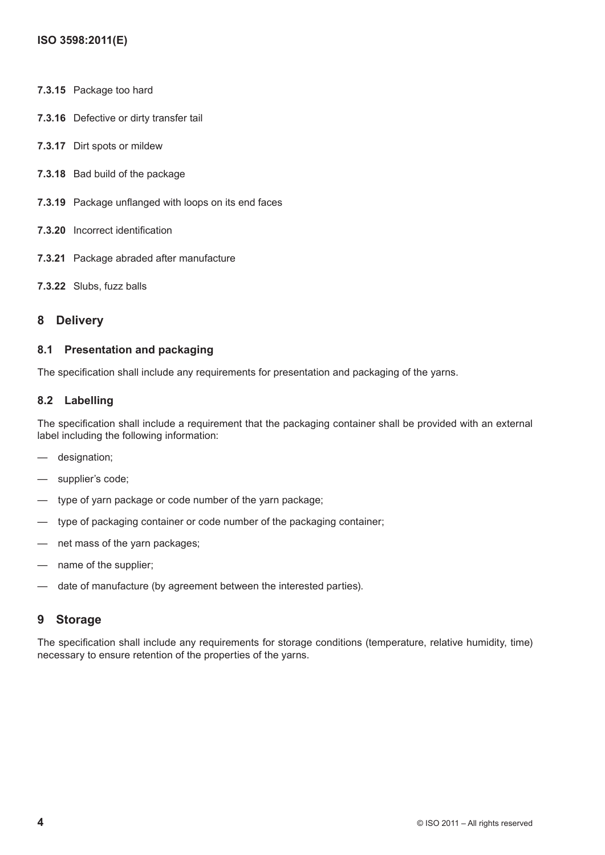- **7.3.15** Package too hard
- **7.3.16** Defective or dirty transfer tail
- **7.3.17** Dirt spots or mildew
- **7.3.18** Bad build of the package
- **7.3.19** Package unflanged with loops on its end faces
- **7.3.20** Incorrect identification
- **7.3.21** Package abraded after manufacture
- **7.3.22** Slubs, fuzz balls

#### **8 Delivery**

#### **8.1 Presentation and packaging**

The specification shall include any requirements for presentation and packaging of the yarns.

#### **8.2 Labelling**

The specification shall include a requirement that the packaging container shall be provided with an external label including the following information:

- designation;
- supplier's code;
- type of yarn package or code number of the yarn package;
- type of packaging container or code number of the packaging container;
- net mass of the yarn packages;
- name of the supplier;
- date of manufacture (by agreement between the interested parties).

#### **9 Storage**

The specification shall include any requirements for storage conditions (temperature, relative humidity, time) necessary to ensure retention of the properties of the yarns.